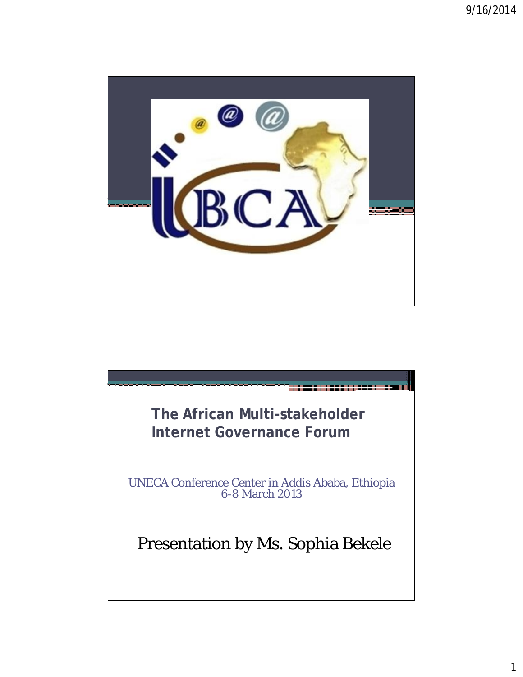

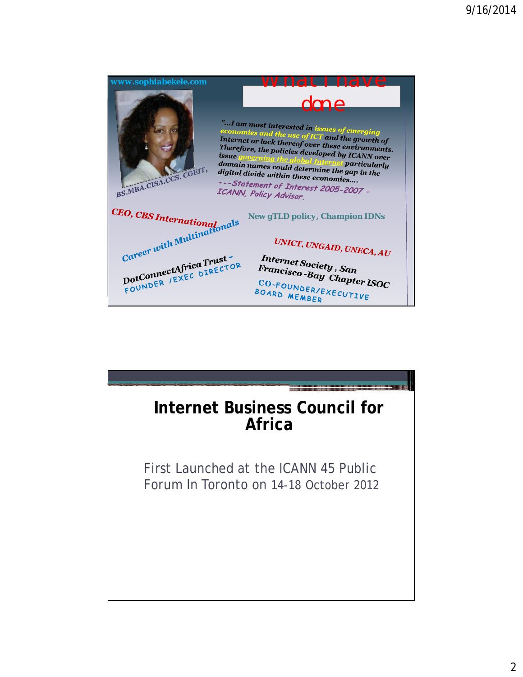

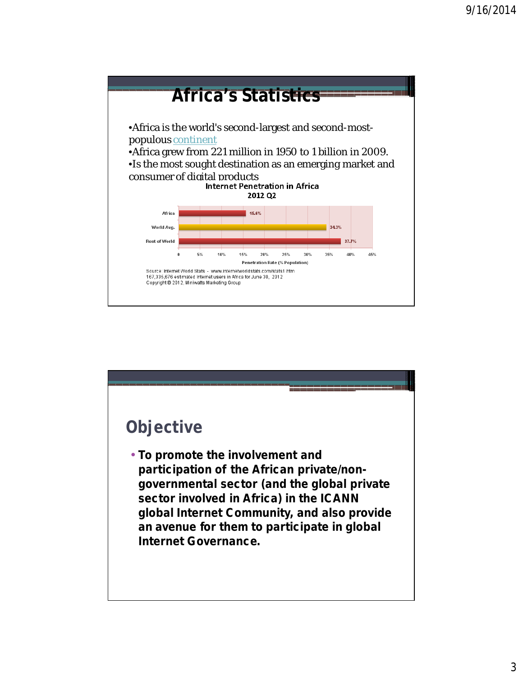

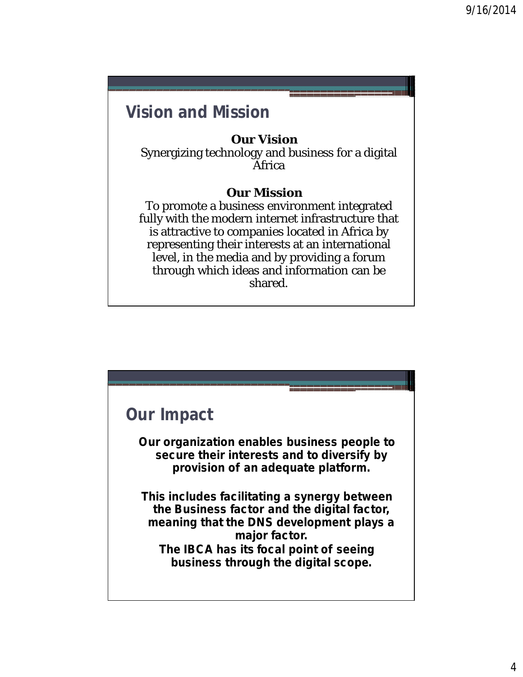### **Vision and Mission**

#### **Our Vision**

Synergizing technology and business for a digital Africa

#### **Our Mission**

To promote a business environment integrated fully with the modern internet infrastructure that is attractive to companies located in Africa by representing their interests at an international level, in the media and by providing a forum through which ideas and information can be shared.

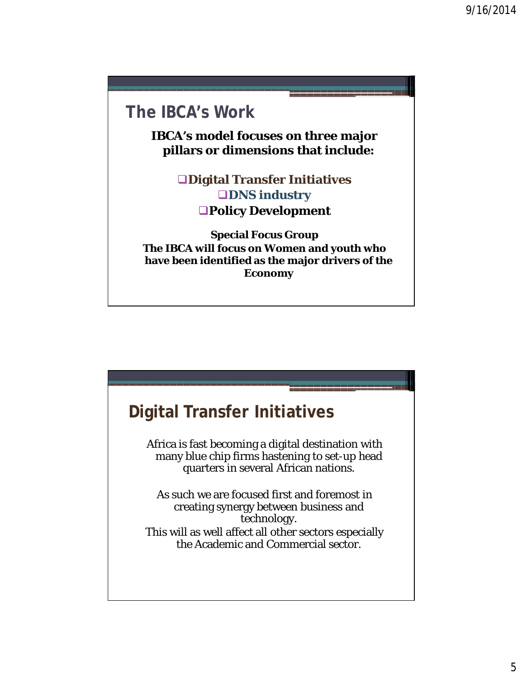## **The IBCA's Work**

**IBCA's model focuses on three major pillars or dimensions that include:**

> **Digital Transfer Initiatives QDNS industry Policy Development**

**Special Focus Group The IBCA will focus on Women and youth who have been identified as the major drivers of the Economy**

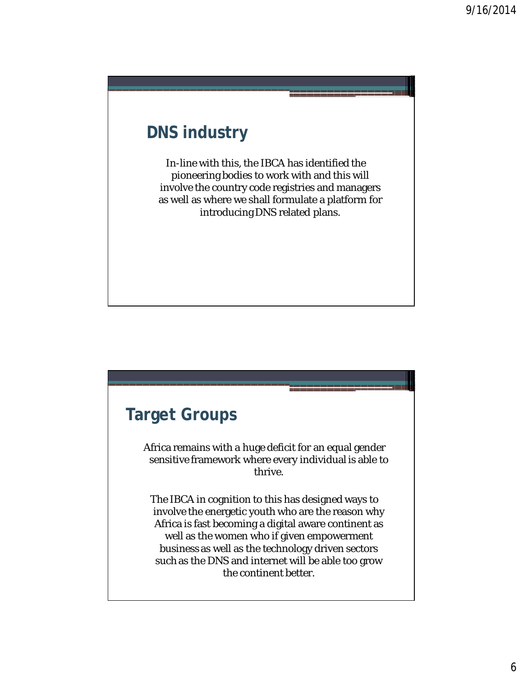## **DNS industry**

In-line with this, the IBCA has identified the pioneering bodies to work with and this will involve the country code registries and managers as well as where we shall formulate a platform for introducing DNS related plans.

## **Target Groups**

Africa remains with a huge deficit for an equal gender sensitive framework where every individual is able to thrive.

The IBCA in cognition to this has designed ways to involve the energetic youth who are the reason why Africa is fast becoming a digital aware continent as well as the women who if given empowerment business as well as the technology driven sectors such as the DNS and internet will be able too grow the continent better.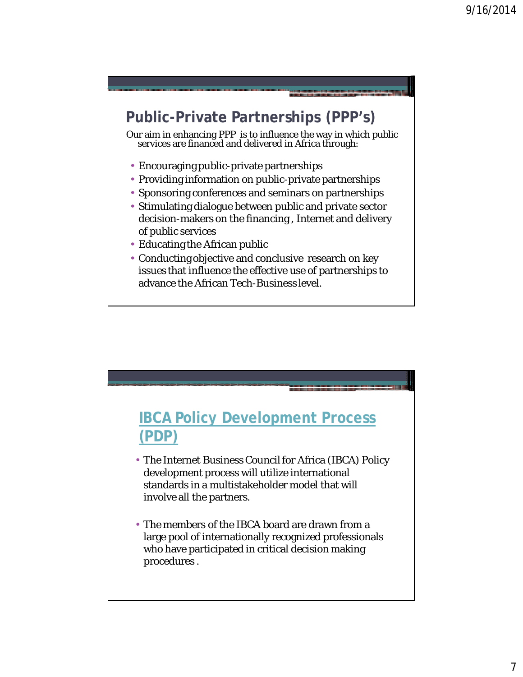## **Public-Private Partnerships (PPP's)**

Our aim in enhancing PPP is to influence the way in which public services are financed and delivered in Africa through:

- Encouraging public-private partnerships
- Providing information on public-private partnerships
- Sponsoring conferences and seminars on partnerships
- Stimulating dialogue between public and private sector decision-makers on the financing , Internet and delivery of public services
- Educating the African public
- Conducting objective and conclusive research on key issues that influence the effective use of partnerships to advance the African Tech-Business level.